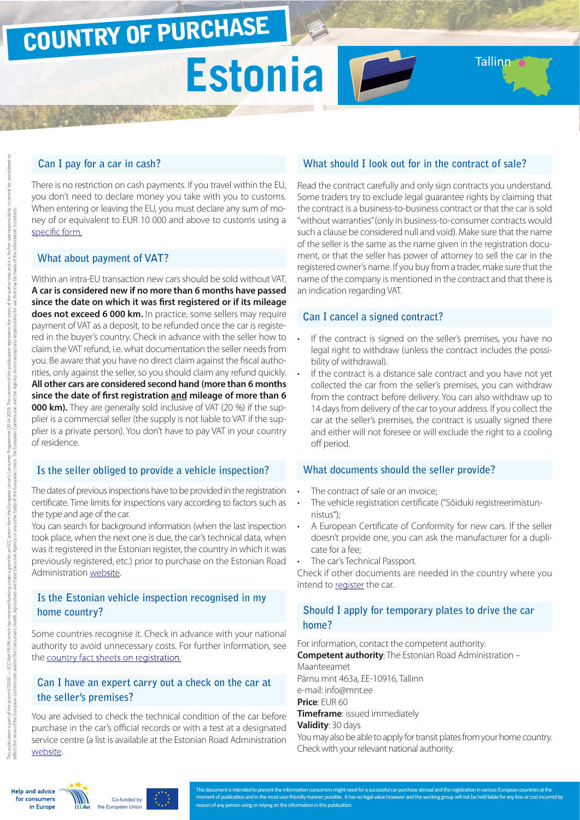## COUNTRY OF PURCHASE

# Estonia **Fe**

#### **Can I pay for a car in cash?**

There is no restriction on cash payments. If you travel within the EU, you don't need to declare money you take with you to customs. When entering or leaving the EU, you must declare any sum of money of or equivalent to EUR 10 000 and above to customs using a [specific form.](http://ec.europa.eu/taxation_customs/resources/documents/customs/customs_controls/cash_controls/declaration_forms/declaration_form_ee_et.pdf)

#### **What about payment of VAT?**

Within an intra-EU transaction new cars should be sold without VAT. **A car is considered new if no more than 6 months have passed since the date on which it was first registered or if its mileage does not exceed 6 000 km.** In practice, some sellers may require payment of VAT as a deposit, to be refunded once the car is registered in the buyer's country. Check in advance with the seller how to claim the VAT refund, i.e. what documentation the seller needs from you. Be aware that you have no direct claim against the fiscal authorities, only against the seller, so you should claim any refund quickly. **All other cars are considered second hand (more than 6 months since the date of first registration and mileage of more than 6 000 km).** They are generally sold inclusive of VAT (20 %) if the supplier is a commercial seller (the supply is not liable to VAT if the supplier is a private person). You don't have to pay VAT in your country of residence.

#### **Is the seller obliged to provide a vehicle inspection?**

The dates of previous inspections have to be provided in the registration certificate. Time limits for inspections vary according to factors such as the type and age of the car.

You can search for background information (when the last inspection took place, when the next one is due, the car's technical data, when was it registered in the Estonian register, the country in which it was previously registered, etc.) prior to purchase on the Estonian Road Administration [website.](https://eteenindus.mnt.ee/public/soidukTaustakontroll.jsf)

#### **Is the Estonian vehicle inspection recognised in my home country?**

Some countries recognise it. Check in advance with your national authority to avoid unnecessary costs. For further information, see the [country fact sheets on registration](http://www.europe-consommateurs.eu/en/consumer-topics/on-the-road/buying-a-car/cross-border-car-purchase-and-registration/).

#### **Can I have an expert carry out a check on the car at the seller's premises?**

You are advised to check the technical condition of the car before purchase in the car's official records or with a test at a designated service centre (a list is available at the Estonian Road Administration [website.](http://www.mnt.ee/index.php?id=10617)

#### **What should I look out for in the contract of sale?**

**Tallinn** 

Read the contract carefully and only sign contracts you understand. Some traders try to exclude legal guarantee rights by claiming that the contract is a business-to-business contract or that the car is sold "without warranties" (only in business-to-consumer contracts would such a clause be considered null and void). Make sure that the name of the seller is the same as the name given in the registration document, or that the seller has power of attorney to sell the car in the registered owner's name. If you buy from a trader, make sure that the name of the company is mentioned in the contract and that there is an indication regarding VAT.

#### **Can I cancel a signed contract?**

- If the contract is signed on the seller's premises, you have no legal right to withdraw (unless the contract includes the possibility of withdrawal).
- If the contract is a distance sale contract and you have not yet collected the car from the seller's premises, you can withdraw from the contract before delivery. You can also withdraw up to 14 days from delivery of the car to your address. If you collect the car at the seller's premises, the contract is usually signed there and either will not foresee or will exclude the right to a cooling off period.

#### **What documents should the seller provide?**

- The contract of sale or an invoice:
- The vehicle registration certificate ("Sõiduki registreerimistunnistus");
- A European Certificate of Conformity for new cars. If the seller doesn't provide one, you can ask the manufacturer for a duplicate for a fee;
- The car's Technical Passport.

Check if other documents are needed in the country where you intend to [register](http://www.europe-consommateurs.eu/en/consumer-topics/on-the-road/buying-a-car/cross-border-car-purchase-and-registration/) the car.

#### **Should I apply for temporary plates to drive the car home?**

For information, contact the competent authority.

**Competent authority**: The Estonian Road Administration –

Maanteeamet Pärnu mnt 463a, EE-10916, Tallinn e-mail: info@mnt.ee **Price**: EUR 60

**Timeframe**: issued immediately

#### **Validity**: 30 days

You may also be able to apply for transit plates from your home country. Check with your relevant national authority.